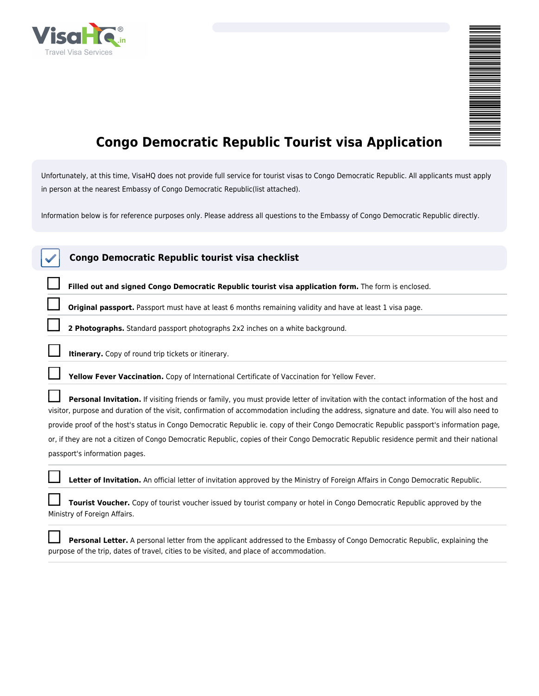

| ₿    |
|------|
|      |
|      |
|      |
|      |
|      |
|      |
|      |
|      |
|      |
|      |
|      |
|      |
|      |
|      |
|      |
|      |
|      |
|      |
|      |
|      |
| ____ |
|      |
|      |
|      |
|      |
|      |
|      |
|      |
|      |
|      |
|      |
| Ξ    |
|      |
|      |
|      |
|      |
|      |
|      |
|      |
|      |
|      |
|      |

## **Congo Democratic Republic Tourist visa Application**

*Unfortunately, at this time, VisaHQ does not provide full service for tourist visas to Congo Democratic Republic. All applicants must apply in person at the nearest Embassy of Congo Democratic Republic(list attached).*

*Information below is for reference purposes only. Please address all questions to the Embassy of Congo Democratic Republic directly.*

| Congo Democratic Republic tourist visa checklist                                                                                                                                                                                                                                     |
|--------------------------------------------------------------------------------------------------------------------------------------------------------------------------------------------------------------------------------------------------------------------------------------|
| Filled out and signed Congo Democratic Republic tourist visa application form. The form is enclosed.                                                                                                                                                                                 |
| Original passport. Passport must have at least 6 months remaining validity and have at least 1 visa page.                                                                                                                                                                            |
| 2 Photographs. Standard passport photographs 2x2 inches on a white background.                                                                                                                                                                                                       |
| Itinerary. Copy of round trip tickets or itinerary.                                                                                                                                                                                                                                  |
| Yellow Fever Vaccination. Copy of International Certificate of Vaccination for Yellow Fever.                                                                                                                                                                                         |
| Personal Invitation. If visiting friends or family, you must provide letter of invitation with the contact information of the host and<br>visitor, purpose and duration of the visit, confirmation of accommodation including the address, signature and date. You will also need to |
| provide proof of the host's status in Congo Democratic Republic ie. copy of their Congo Democratic Republic passport's information page,                                                                                                                                             |
| or, if they are not a citizen of Congo Democratic Republic, copies of their Congo Democratic Republic residence permit and their national                                                                                                                                            |
| passport's information pages.                                                                                                                                                                                                                                                        |
| Letter of Invitation. An official letter of invitation approved by the Ministry of Foreign Affairs in Congo Democratic Republic.                                                                                                                                                     |
| <b>Tourist Voucher.</b> Copy of tourist voucher issued by tourist company or hotel in Congo Democratic Republic approved by the<br>Ministry of Foreign Affairs.                                                                                                                      |
| Personal Letter. A personal letter from the applicant addressed to the Embassy of Congo Democratic Republic, explaining the<br>purpose of the trip, dates of travel, cities to be visited, and place of accommodation.                                                               |